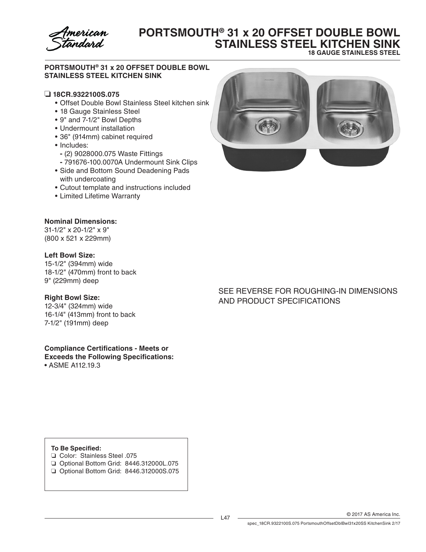

# **PORTSMOUTH® 31 x 20 OFFSET DOUBLE BOWL STAINLESS STEEL KITCHEN SINK**

**18 GAUGE STAINLESS STEEL**

#### **PORTSMOUTH® 31 x 20 OFFSET DOUBLE BOWL STAINLESS STEEL KITCHEN SINK**

#### ❏ **18CR.9322100S.075**

- • Offset Double Bowl Stainless Steel kitchen sink
- 18 Gauge Stainless Steel
- • 9" and 7-1/2" Bowl Depths
- Undermount installation
- • 36" (914mm) cabinet required
- Includes:
	- **-** (2) 9028000.075 Waste Fittings
- **-** 791676-100.0070A Undermount Sink Clips
- Side and Bottom Sound Deadening Pads with undercoating
- • Cutout template and instructions included
- • Limited Lifetime Warranty

#### **Nominal Dimensions:**

31-1/2" x 20-1/2" x 9" (800 x 521 x 229mm)

#### **Left Bowl Size:**

15-1/2" (394mm) wide 18-1/2" (470mm) front to back 9" (229mm) deep

#### **Right Bowl Size:**

12-3/4" (324mm) wide 16-1/4" (413mm) front to back 7-1/2" (191mm) deep

**Compliance Certifications - Meets or Exceeds the Following Specifications:** • ASME A112.19.3



### SEE REVERSE FOR ROUGHING-IN DIMENSIONS AND PRODUCT SPECIFICATIONS

#### **To Be Specified:**

- ❏ Color: Stainless Steel .075
- ❏ Optional Bottom Grid: 8446.312000L.075 ❏ Optional Bottom Grid: 8446.312000S.075